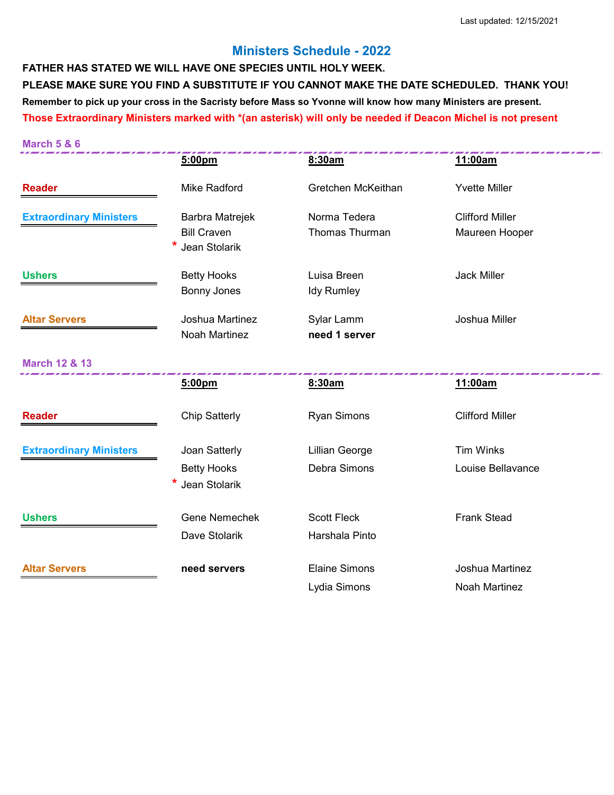## **Ministers Schedule - 2022**

**FATHER HAS STATED WE WILL HAVE ONE SPECIES UNTIL HOLY WEEK. PLEASE MAKE SURE YOU FIND A SUBSTITUTE IF YOU CANNOT MAKE THE DATE SCHEDULED. THANK YOU! Remember to pick up your cross in the Sacristy before Mass so Yvonne will know how many Ministers are present. Those Extraordinary Ministers marked with \*(an asterisk) will only be needed if Deacon Michel is not present**

| <b>March 5 &amp; 6</b>         |                                            |                       |                        |
|--------------------------------|--------------------------------------------|-----------------------|------------------------|
|                                | 5:00pm                                     | 8:30am                | 11:00am                |
| <b>Reader</b>                  | <b>Mike Radford</b>                        | Gretchen McKeithan    | <b>Yvette Miller</b>   |
| <b>Extraordinary Ministers</b> | Barbra Matrejek                            | Norma Tedera          | <b>Clifford Miller</b> |
|                                | <b>Bill Craven</b><br><b>Jean Stolarik</b> | Thomas Thurman        | Maureen Hooper         |
| <b>Ushers</b>                  | <b>Betty Hooks</b>                         | Luisa Breen           | <b>Jack Miller</b>     |
|                                | <b>Bonny Jones</b>                         | <b>Idy Rumley</b>     |                        |
| <b>Altar Servers</b>           | Joshua Martinez                            | Sylar Lamm            | Joshua Miller          |
|                                | <b>Noah Martinez</b>                       | need 1 server         |                        |
| <b>March 12 &amp; 13</b>       |                                            |                       |                        |
|                                | 5:00pm                                     | 8:30am                | 11:00am                |
| <b>Reader</b>                  | <b>Chip Satterly</b>                       | <b>Ryan Simons</b>    | <b>Clifford Miller</b> |
| <b>Extraordinary Ministers</b> | Joan Satterly                              | <b>Lillian George</b> | <b>Tim Winks</b>       |
|                                | <b>Betty Hooks</b>                         | Debra Simons          | Louise Bellavance      |
|                                | <b>Jean Stolarik</b>                       |                       |                        |
| <b>Ushers</b>                  | <b>Gene Nemechek</b>                       | <b>Scott Fleck</b>    | <b>Frank Stead</b>     |
|                                | Dave Stolarik                              | Harshala Pinto        |                        |
| <b>Altar Servers</b>           | need servers                               | <b>Elaine Simons</b>  | Joshua Martinez        |
|                                |                                            | Lydia Simons          | <b>Noah Martinez</b>   |